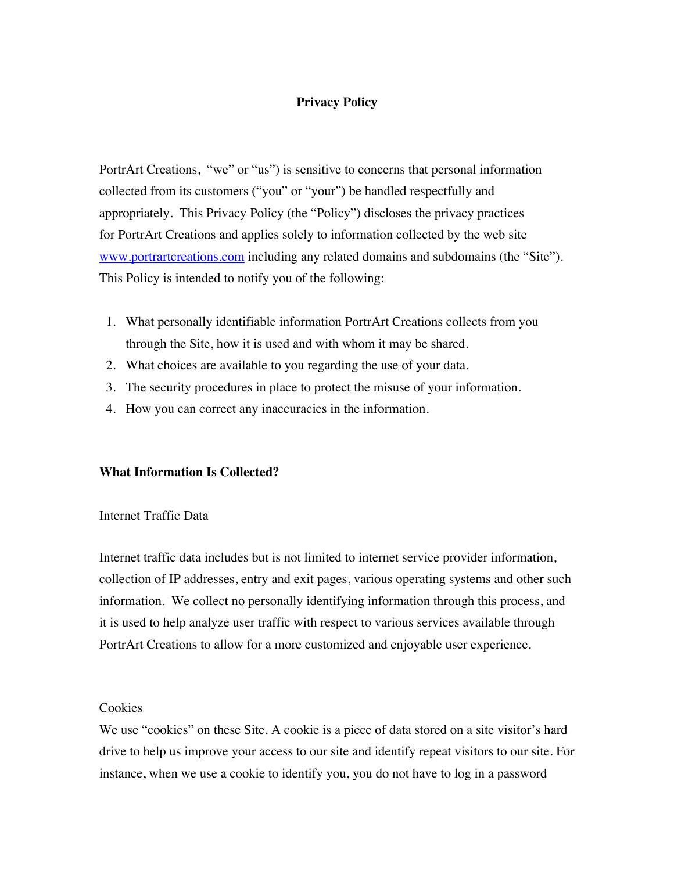# **Privacy Policy**

PortrArt Creations, "we" or "us") is sensitive to concerns that personal information collected from its customers ("you" or "your") be handled respectfully and appropriately. This Privacy Policy (the "Policy") discloses the privacy practices for PortrArt Creations and applies solely to information collected by the web site www.portrartcreations.com including any related domains and subdomains (the "Site"). This Policy is intended to notify you of the following:

- 1. What personally identifiable information PortrArt Creations collects from you through the Site, how it is used and with whom it may be shared.
- 2. What choices are available to you regarding the use of your data.
- 3. The security procedures in place to protect the misuse of your information.
- 4. How you can correct any inaccuracies in the information.

## **What Information Is Collected?**

# Internet Traffic Data

Internet traffic data includes but is not limited to internet service provider information, collection of IP addresses, entry and exit pages, various operating systems and other such information. We collect no personally identifying information through this process, and it is used to help analyze user traffic with respect to various services available through PortrArt Creations to allow for a more customized and enjoyable user experience.

### Cookies

We use "cookies" on these Site. A cookie is a piece of data stored on a site visitor's hard drive to help us improve your access to our site and identify repeat visitors to our site. For instance, when we use a cookie to identify you, you do not have to log in a password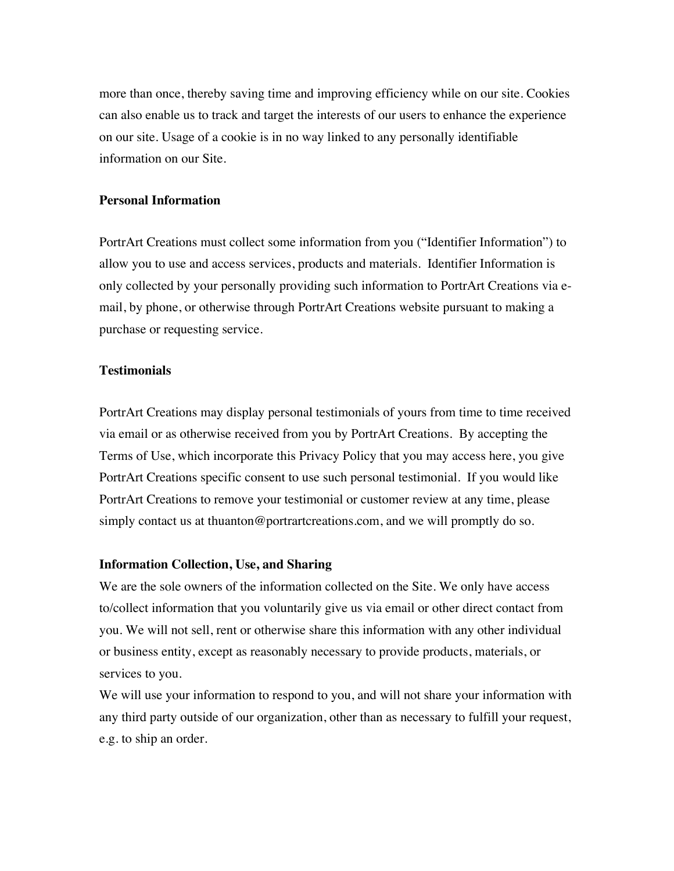more than once, thereby saving time and improving efficiency while on our site. Cookies can also enable us to track and target the interests of our users to enhance the experience on our site. Usage of a cookie is in no way linked to any personally identifiable information on our Site.

### **Personal Information**

PortrArt Creations must collect some information from you ("Identifier Information") to allow you to use and access services, products and materials. Identifier Information is only collected by your personally providing such information to PortrArt Creations via email, by phone, or otherwise through PortrArt Creations website pursuant to making a purchase or requesting service.

#### **Testimonials**

PortrArt Creations may display personal testimonials of yours from time to time received via email or as otherwise received from you by PortrArt Creations. By accepting the Terms of Use, which incorporate this Privacy Policy that you may access here, you give PortrArt Creations specific consent to use such personal testimonial. If you would like PortrArt Creations to remove your testimonial or customer review at any time, please simply contact us at thuanton@portrartcreations.com, and we will promptly do so.

### **Information Collection, Use, and Sharing**

We are the sole owners of the information collected on the Site. We only have access to/collect information that you voluntarily give us via email or other direct contact from you. We will not sell, rent or otherwise share this information with any other individual or business entity, except as reasonably necessary to provide products, materials, or services to you.

We will use your information to respond to you, and will not share your information with any third party outside of our organization, other than as necessary to fulfill your request, e.g. to ship an order.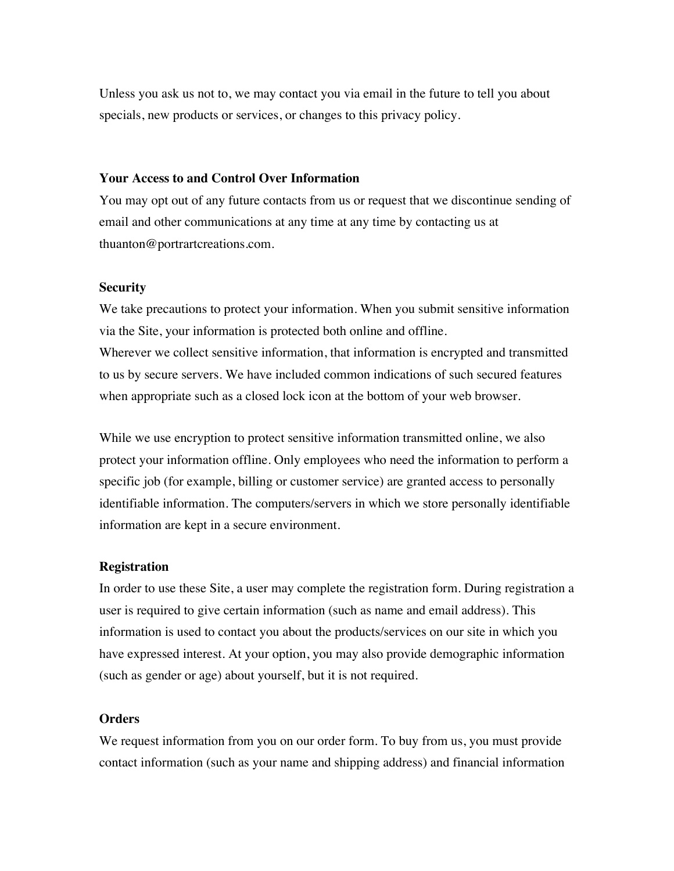Unless you ask us not to, we may contact you via email in the future to tell you about specials, new products or services, or changes to this privacy policy.

### **Your Access to and Control Over Information**

You may opt out of any future contacts from us or request that we discontinue sending of email and other communications at any time at any time by contacting us at thuanton@portrartcreations.com.

### **Security**

We take precautions to protect your information. When you submit sensitive information via the Site, your information is protected both online and offline. Wherever we collect sensitive information, that information is encrypted and transmitted to us by secure servers. We have included common indications of such secured features when appropriate such as a closed lock icon at the bottom of your web browser.

While we use encryption to protect sensitive information transmitted online, we also protect your information offline. Only employees who need the information to perform a specific job (for example, billing or customer service) are granted access to personally identifiable information. The computers/servers in which we store personally identifiable information are kept in a secure environment.

#### **Registration**

In order to use these Site, a user may complete the registration form. During registration a user is required to give certain information (such as name and email address). This information is used to contact you about the products/services on our site in which you have expressed interest. At your option, you may also provide demographic information (such as gender or age) about yourself, but it is not required.

#### **Orders**

We request information from you on our order form. To buy from us, you must provide contact information (such as your name and shipping address) and financial information